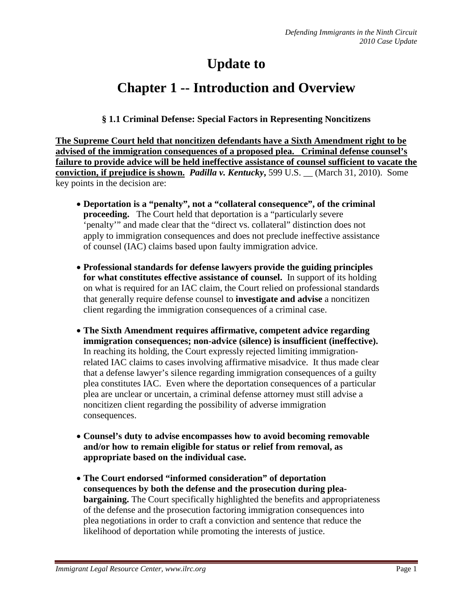# **Update to**

## **Chapter 1 -- Introduction and Overview**

#### **§ 1.1 Criminal Defense: Special Factors in Representing Noncitizens**

**The Supreme Court held that noncitizen defendants have a Sixth Amendment right to be advised of the immigration consequences of a proposed plea. Criminal defense counsel's failure to provide advice will be held ineffective assistance of counsel sufficient to vacate the conviction, if prejudice is shown.** *Padilla v. Kentucky***,** 599 U.S. \_\_ (March 31, 2010). Some key points in the decision are:

- **Deportation is a "penalty", not a "collateral consequence", of the criminal proceeding.** The Court held that deportation is a "particularly severe 'penalty'" and made clear that the "direct vs. collateral" distinction does not apply to immigration consequences and does not preclude ineffective assistance of counsel (IAC) claims based upon faulty immigration advice.
- **Professional standards for defense lawyers provide the guiding principles for what constitutes effective assistance of counsel.** In support of its holding on what is required for an IAC claim, the Court relied on professional standards that generally require defense counsel to **investigate and advise** a noncitizen client regarding the immigration consequences of a criminal case.
- **The Sixth Amendment requires affirmative, competent advice regarding immigration consequences; non-advice (silence) is insufficient (ineffective).**  In reaching its holding, the Court expressly rejected limiting immigrationrelated IAC claims to cases involving affirmative misadvice. It thus made clear that a defense lawyer's silence regarding immigration consequences of a guilty plea constitutes IAC. Even where the deportation consequences of a particular plea are unclear or uncertain, a criminal defense attorney must still advise a noncitizen client regarding the possibility of adverse immigration consequences.
- **Counsel's duty to advise encompasses how to avoid becoming removable and/or how to remain eligible for status or relief from removal, as appropriate based on the individual case.**
- **The Court endorsed "informed consideration" of deportation consequences by both the defense and the prosecution during pleabargaining.** The Court specifically highlighted the benefits and appropriateness of the defense and the prosecution factoring immigration consequences into plea negotiations in order to craft a conviction and sentence that reduce the likelihood of deportation while promoting the interests of justice.